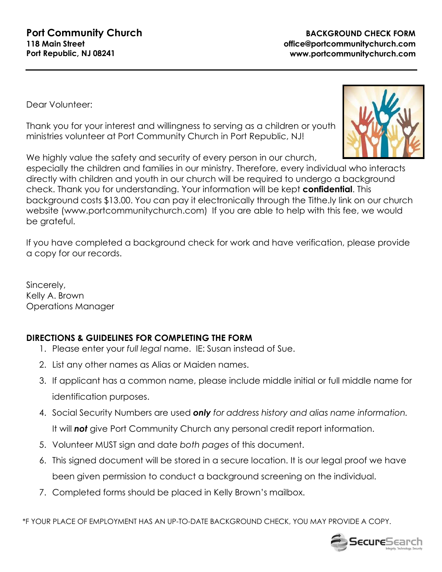Dear Volunteer:

Thank you for your interest and willingness to serving as a children or youth ministries volunteer at Port Community Church in Port Republic, NJ!

We highly value the safety and security of every person in our church,

especially the children and families in our ministry. Therefore, every individual who interacts directly with children and youth in our church will be required to undergo a background check. Thank you for understanding. Your information will be kept **confidential**. This background costs \$13.00. You can pay it electronically through the Tithe.ly link on our church website (www.portcommunitychurch.com) If you are able to help with this fee, we would be grateful.

If you have completed a background check for work and have verification, please provide a copy for our records.

Sincerely, Kelly A. Brown Operations Manager

## **DIRECTIONS & GUIDELINES FOR COMPLETING THE FORM**

- 1. Please enter your *full legal* name. IE: Susan instead of Sue.
- 2. List any other names as Alias or Maiden names.
- 3. If applicant has a common name, please include middle initial or full middle name for identification purposes.
- 4. Social Security Numbers are used *only for address history and alias name information.* It will *not* give Port Community Church any personal credit report information.
- 5. Volunteer MUST sign and date *both pages* of this document.
- 6. This signed document will be stored in a secure location. It is our legal proof we have been given permission to conduct a background screening on the individual.
- 7. Completed forms should be placed in Kelly Brown's mailbox.

\*F YOUR PLACE OF EMPLOYMENT HAS AN UP-TO-DATE BACKGROUND CHECK, YOU MAY PROVIDE A COPY.



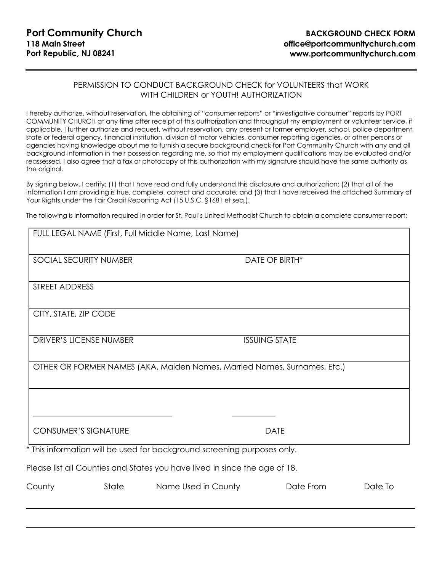## PERMISSION TO CONDUCT BACKGROUND CHECK for VOLUNTEERS that WORK WITH CHILDREN or YOUTH! AUTHORIZATION

I hereby authorize, without reservation, the obtaining of "consumer reports" or "investigative consumer" reports by PORT COMMUNITY CHURCH at any time after receipt of this authorization and throughout my employment or volunteer service, if applicable. I further authorize and request, without reservation, any present or former employer, school, police department, state or federal agency, financial institution, division of motor vehicles, consumer reporting agencies, or other persons or agencies having knowledge about me to furnish a secure background check for Port Community Church with any and all background information in their possession regarding me, so that my employment qualifications may be evaluated and/or reassessed. I also agree that a fax or photocopy of this authorization with my signature should have the same authority as the original.

By signing below, I certify: (1) that I have read and fully understand this disclosure and authorization; (2) that all of the information I am providing is true, complete, correct and accurate; and (3) that I have received the attached Summary of Your Rights under the Fair Credit Reporting Act (15 U.S.C. §1681 et seg.).

The following is information required in order for St. Paul's United Methodist Church to obtain a complete consumer report:

|                             |       | FULL LEGAL NAME (First, Full Middle Name, Last Name)                       |                      |         |
|-----------------------------|-------|----------------------------------------------------------------------------|----------------------|---------|
| SOCIAL SECURITY NUMBER      |       |                                                                            | DATE OF BIRTH*       |         |
| STREET ADDRESS              |       |                                                                            |                      |         |
| CITY, STATE, ZIP CODE       |       |                                                                            |                      |         |
| DRIVER'S LICENSE NUMBER     |       |                                                                            | <b>ISSUING STATE</b> |         |
|                             |       | OTHER OR FORMER NAMES (AKA, Maiden Names, Married Names, Surnames, Etc.)   |                      |         |
| <b>CONSUMER'S SIGNATURE</b> |       |                                                                            | <b>DATE</b>          |         |
|                             |       | * This information will be used for background screening purposes only.    |                      |         |
|                             |       | Please list all Counties and States you have lived in since the age of 18. |                      |         |
| County                      | State | Name Used in County                                                        | Date From            | Date To |